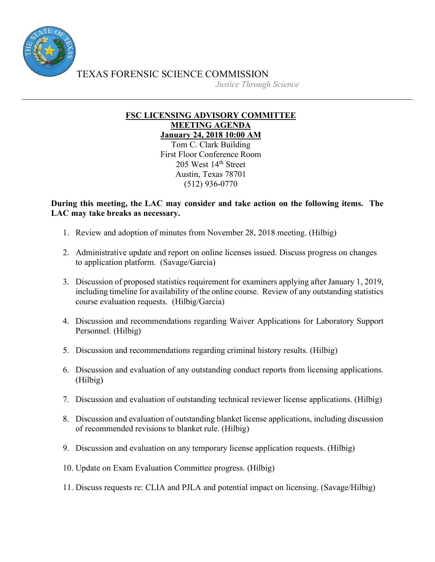

TEXAS FORENSIC SCIENCE COMMISSION

*Justice Through Science*

## **FSC LICENSING ADVISORY COMMITTEE MEETING AGENDA January 24, 2018 10:00 AM**

Tom C. Clark Building First Floor Conference Room 205 West 14th Street Austin, Texas 78701 (512) 936-0770

## **During this meeting, the LAC may consider and take action on the following items. The LAC may take breaks as necessary.**

- 1. Review and adoption of minutes from November 28, 2018 meeting. (Hilbig)
- 2. Administrative update and report on online licenses issued. Discuss progress on changes to application platform. (Savage/Garcia)
- 3. Discussion of proposed statistics requirement for examiners applying after January 1, 2019, including timeline for availability of the online course. Review of any outstanding statistics course evaluation requests. (Hilbig/Garcia)
- 4. Discussion and recommendations regarding Waiver Applications for Laboratory Support Personnel. (Hilbig)
- 5. Discussion and recommendations regarding criminal history results. (Hilbig)
- 6. Discussion and evaluation of any outstanding conduct reports from licensing applications. (Hilbig)
- 7. Discussion and evaluation of outstanding technical reviewer license applications. (Hilbig)
- 8. Discussion and evaluation of outstanding blanket license applications, including discussion of recommended revisions to blanket rule. (Hilbig)
- 9. Discussion and evaluation on any temporary license application requests. (Hilbig)
- 10. Update on Exam Evaluation Committee progress. (Hilbig)
- 11. Discuss requests re: CLIA and PJLA and potential impact on licensing. (Savage/Hilbig)